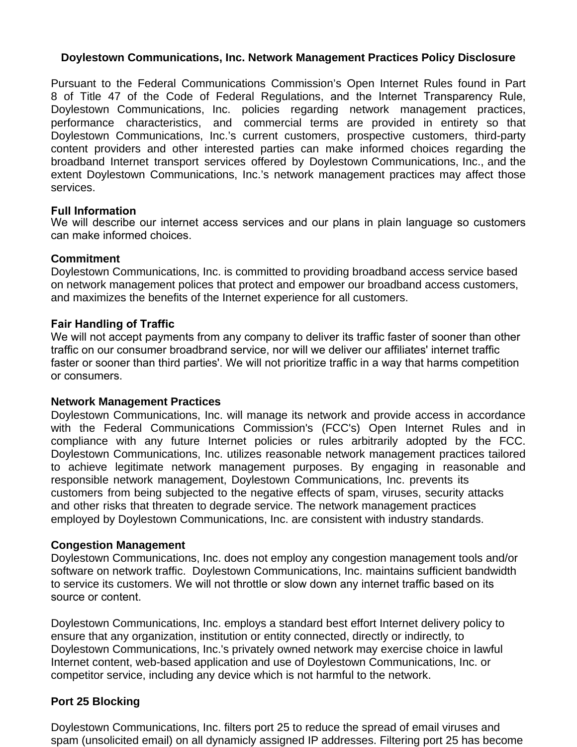## **Doylestown Communications, Inc. Network Management Practices Policy Disclosure**

Pursuant to the Federal Communications Commission's Open Internet Rules found in Part 8 of Title 47 of the Code of Federal Regulations, and the Internet Transparency Rule, Doylestown Communications, Inc. policies regarding network management practices, performance characteristics, and commercial terms are provided in entirety so that Doylestown Communications, Inc.'s current customers, prospective customers, third-party content providers and other interested parties can make informed choices regarding the broadband Internet transport services offered by Doylestown Communications, Inc., and the extent Doylestown Communications, Inc.'s network management practices may affect those services.

## **Full Information**

We will describe our internet access services and our plans in plain language so customers can make informed choices.

### **Commitment**

Doylestown Communications, Inc. is committed to providing broadband access service based on network management polices that protect and empower our broadband access customers, and maximizes the benefits of the Internet experience for all customers.

## **Fair Handling of Traffic**

We will not accept payments from any company to deliver its traffic faster of sooner than other traffic on our consumer broadbrand service, nor will we deliver our affiliates' internet traffic faster or sooner than third parties'. We will not prioritize traffic in a way that harms competition or consumers.

#### **Network Management Practices**

Doylestown Communications, Inc. will manage its network and provide access in accordance with the Federal Communications Commission's (FCC's) Open Internet Rules and in compliance with any future Internet policies or rules arbitrarily adopted by the FCC. Doylestown Communications, Inc. utilizes reasonable network management practices tailored to achieve legitimate network management purposes. By engaging in reasonable and responsible network management, Doylestown Communications, Inc. prevents its customers from being subjected to the negative effects of spam, viruses, security attacks and other risks that threaten to degrade service. The network management practices employed by Doylestown Communications, Inc. are consistent with industry standards.

## **Congestion Management**

Doylestown Communications, Inc. does not employ any congestion management tools and/or software on network traffic. Doylestown Communications, Inc. maintains sufficient bandwidth to service its customers. We will not throttle or slow down any internet traffic based on its source or content.

Doylestown Communications, Inc. employs a standard best effort Internet delivery policy to ensure that any organization, institution or entity connected, directly or indirectly, to Doylestown Communications, Inc.'s privately owned network may exercise choice in lawful Internet content, web-based application and use of Doylestown Communications, Inc. or competitor service, including any device which is not harmful to the network.

## **Port 25 Blocking**

Doylestown Communications, Inc. filters port 25 to reduce the spread of email viruses and spam (unsolicited email) on all dynamicly assigned IP addresses. Filtering port 25 has become